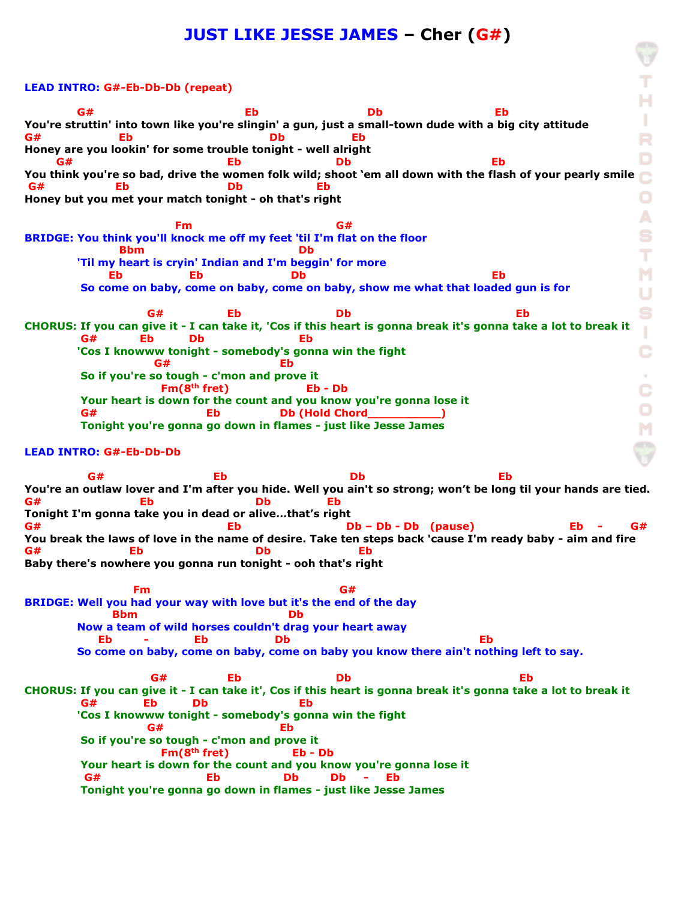## **JUST LIKE JESSE JAMES – Cher (G#)**

## **LEAD INTRO: G#-Eb-Db-Db (repeat) G# Eb Db Eb**  ٠ **You're struttin' into town like you're slingin' a gun, just a small-town dude with a big city attitude G# Eb Db Eb Honey are you lookin' for some trouble tonight - well alright G# Eb Db Eb You think you're so bad, drive the women folk wild; shoot 'em all down with the flash of your pearly smile**  $\sim$ **G# Eb Db Eb Honey but you met your match tonight - oh that's right** А **Fm G#** G# **BRIDGE: You think you'll knock me off my feet 'til I'm flat on the floor Bbm** Db т  **'Til my heart is cryin' Indian and I'm beggin' for more Eb Eb Db Eb So come on baby, come on baby, come on baby, show me what that loaded gun is for G# Eb Db Eb CHORUS: If you can give it - I can take it, 'Cos if this heart is gonna break it's gonna take a lot to break it** T  **G# Eb Db Eb** Ć  **'Cos I knowww tonight - somebody's gonna win the fight G#** Eb  **So if you're so tough - c'mon and prove it**  $\sim$ Ć  **Fm(8th fret) Eb - Db Your heart is down for the count and you know you're gonna lose it G# Bb Db (Hold Chord\_\_\_\_\_\_\_\_\_\_\_) Tonight you're gonna go down in flames - just like Jesse James LEAD INTRO: G#-Eb-Db-Db G# Eb Db Eb You're an outlaw lover and I'm after you hide. Well you ain't so strong; won't be long til your hands are tied. G# Eb Db Eb Tonight I'm gonna take you in dead or alive…that's right G# Eb Db – Db - Db (pause) Eb - G# You break the laws of love in the name of desire. Take ten steps back 'cause I'm ready baby - aim and fire G# Eb Db Eb Baby there's nowhere you gonna run tonight - ooh that's right Fm G# BRIDGE: Well you had your way with love but it's the end of the day Bbm** Db  **Now a team of wild horses couldn't drag your heart away Eb - Eb Db Eb So come on baby, come on baby, come on baby you know there ain't nothing left to say. G# Eb Db Eb CHORUS: If you can give it - I can take it', Cos if this heart is gonna break it's gonna take a lot to break it G# Eb Db Eb 'Cos I knowww tonight - somebody's gonna win the fight G#** Eb  **So if you're so tough - c'mon and prove it Fm(8th fret) Eb - Db Your heart is down for the count and you know you're gonna lose it G# Eb Db Db - Eb Tonight you're gonna go down in flames - just like Jesse James**

R D o M U